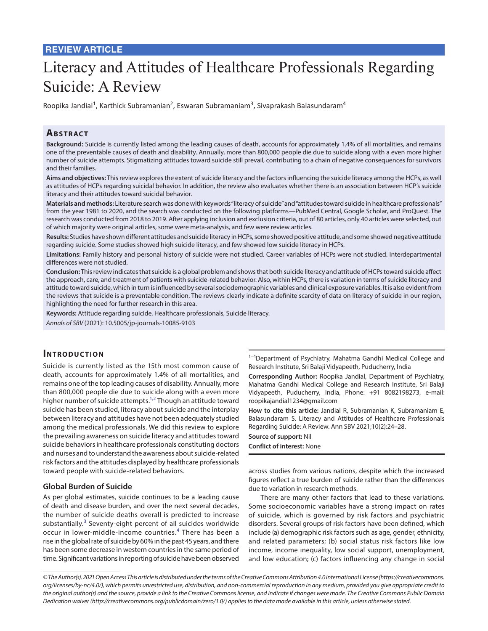# **REVIEW ARTICLE**

# Literacy and Attitudes of Healthcare Professionals Regarding Suicide: A Review

Roopika Jandial<sup>1</sup>, Karthick Subramanian<sup>2</sup>, Eswaran Subramaniam<sup>3</sup>, Sivaprakash Balasundaram<sup>4</sup>

# **ABSTRACT**

**Background:** Suicide is currently listed among the leading causes of death, accounts for approximately 1.4% of all mortalities, and remains one of the preventable causes of death and disability. Annually, more than 800,000 people die due to suicide along with a even more higher number of suicide attempts. Stigmatizing attitudes toward suicide still prevail, contributing to a chain of negative consequences for survivors and their families.

**Aims and objectives:** This review explores the extent of suicide literacy and the factors influencing the suicide literacy among the HCPs, as well as attitudes of HCPs regarding suicidal behavior. In addition, the review also evaluates whether there is an association between HCP's suicide literacy and their attitudes toward suicidal behavior.

**Materials and methods:** Literature search was done with keywords "literacy of suicide" and "attitudes toward suicide in healthcare professionals" from the year 1981 to 2020, and the search was conducted on the following platforms—PubMed Central, Google Scholar, and ProQuest. The research was conducted from 2018 to 2019. After applying inclusion and exclusion criteria, out of 80 articles, only 40 articles were selected, out of which majority were original articles, some were meta-analysis, and few were review articles.

**Results:** Studies have shown different attitudes and suicide literacy in HCPs, some showed positive attitude, and some showed negative attitude regarding suicide. Some studies showed high suicide literacy, and few showed low suicide literacy in HCPs.

**Limitations:** Family history and personal history of suicide were not studied. Career variables of HCPs were not studied. Interdepartmental differences were not studied.

**Conclusion:** This review indicates that suicide is a global problem and shows that both suicide literacy and attitude of HCPs toward suicide affect the approach, care, and treatment of patients with suicide-related behavior. Also, within HCPs, there is variation in terms of suicide literacy and attitude toward suicide, which in turn is influenced by several sociodemographic variables and clinical exposure variables. It is also evident from the reviews that suicide is a preventable condition. The reviews clearly indicate a definite scarcity of data on literacy of suicide in our region, highlighting the need for further research in this area.

**Keywords:** Attitude regarding suicide, Healthcare professionals, Suicide literacy. *Annals of SBV* (2021): 10.5005/jp-journals-10085-9103

# **INTRODUCTION**

Suicide is currently listed as the 15th most common cause of death, accounts for approximately 1.4% of all mortalities, and remains one of the top leading causes of disability. Annually, more than 800,000 people die due to suicide along with a even more higher number of suicide attempts.<sup>1,[2](#page-3-1)</sup> Though an attitude toward suicide has been studied, literacy about suicide and the interplay between literacy and attitudes have not been adequately studied among the medical professionals. We did this review to explore the prevailing awareness on suicide literacy and attitudes toward suicide behaviors in healthcare professionals constituting doctors and nurses and to understand the awareness about suicide-related risk factors and the attitudes displayed by healthcare professionals toward people with suicide-related behaviors.

#### **Global Burden of Suicide**

As per global estimates, suicide continues to be a leading cause of death and disease burden, and over the next several decades, the number of suicide deaths overall is predicted to increase substantially. $3$  Seventy-eight percent of all suicides worldwide occur in lower-middle-income countries.<sup>[4](#page-3-3)</sup> There has been a rise in the global rate of suicide by 60% in the past 45 years, and there has been some decrease in western countries in the same period of time. Significant variations in reporting of suicide have been observed

<sup>1-4</sup>Department of Psychiatry, Mahatma Gandhi Medical College and Research Institute, Sri Balaji Vidyapeeth, Puducherry, India

**Corresponding Author:** Roopika Jandial, Department of Psychiatry, Mahatma Gandhi Medical College and Research Institute, Sri Balaji Vidyapeeth, Puducherry, India, Phone: +91 8082198273, e-mail: roopikajandial1234@gmail.com

**How to cite this article:** Jandial R, Subramanian K, Subramaniam E, Balasundaram S. Literacy and Attitudes of Healthcare Professionals Regarding Suicide: A Review. Ann SBV 2021;10(2):24–28.

**Source of support:** Nil **Conflict of interest:** None

across studies from various nations, despite which the increased figures reflect a true burden of suicide rather than the differences due to variation in research methods.

There are many other factors that lead to these variations. Some socioeconomic variables have a strong impact on rates of suicide, which is governed by risk factors and psychiatric disorders. Several groups of risk factors have been defined, which include (a) demographic risk factors such as age, gender, ethnicity, and related parameters; (b) social status risk factors like low income, income inequality, low social support, unemployment, and low education; (c) factors influencing any change in social

*<sup>©</sup> The Author(s). 2021 Open Access This article is distributed under the terms of the Creative Commons Attribution 4.0 International License ([https://creativecommons.](https://creativecommons. org/licenses/by-nc/4.0/)  [org/licenses/by-nc/4.0/](https://creativecommons. org/licenses/by-nc/4.0/)), which permits unrestricted use, distribution, and non-commercial reproduction in any medium, provided you give appropriate credit to the original author(s) and the source, provide a link to the Creative Commons license, and indicate if changes were made. The Creative Commons Public Domain Dedication waiver (http://creativecommons.org/publicdomain/zero/1.0/) applies to the data made available in this article, unless otherwise stated.*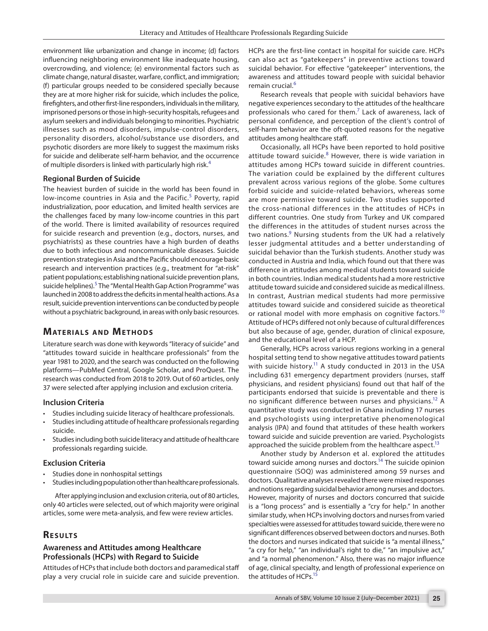environment like urbanization and change in income; (d) factors influencing neighboring environment like inadequate housing, overcrowding, and violence; (e) environmental factors such as climate change, natural disaster, warfare, conflict, and immigration; (f) particular groups needed to be considered specially because they are at more higher risk for suicide, which includes the police, firefighters, and other first-line responders, individuals in the military, imprisoned persons or those in high-security hospitals, refugees and asylum seekers and individuals belonging to minorities. Psychiatric illnesses such as mood disorders, impulse-control disorders, personality disorders, alcohol/substance use disorders, and psychotic disorders are more likely to suggest the maximum risks for suicide and deliberate self-harm behavior, and the occurrence of multiple disorders is linked with particularly high risk.<sup>[4](#page-3-3)</sup>

#### **Regional Burden of Suicide**

The heaviest burden of suicide in the world has been found in low-income countries in Asia and the Pacific.<sup>[5](#page-3-4)</sup> Poverty, rapid industrialization, poor education, and limited health services are the challenges faced by many low-income countries in this part of the world. There is limited availability of resources required for suicide research and prevention (e.g., doctors, nurses, and psychiatrists) as these countries have a high burden of deaths due to both infectious and noncommunicable diseases. Suicide prevention strategies in Asia and the Pacific should encourage basic research and intervention practices (e.g., treatment for "at-risk" patient populations; establishing national suicide prevention plans, suicide helplines). <sup>[5](#page-3-4)</sup> The "Mental Health Gap Action Programme" was launched in 2008 to address the deficits in mental health actions. As a result, suicide prevention interventions can be conducted by people without a psychiatric background, in areas with only basic resources.

# **MATERIALS AND METHODS**

Literature search was done with keywords "literacy of suicide" and "attitudes toward suicide in healthcare professionals" from the year 1981 to 2020, and the search was conducted on the following platforms—PubMed Central, Google Scholar, and ProQuest. The research was conducted from 2018 to 2019. Out of 60 articles, only 37 were selected after applying inclusion and exclusion criteria.

## **Inclusion Criteria**

- Studies including suicide literacy of healthcare professionals.
- Studies including attitude of healthcare professionals regarding suicide.
- Studies including both suicide literacy and attitude of healthcare professionals regarding suicide.

#### **Exclusion Criteria**

- Studies done in nonhospital settings
- Studies including population other than healthcare professionals.

After applying inclusion and exclusion criteria, out of 80 articles, only 40 articles were selected, out of which majority were original articles, some were meta-analysis, and few were review articles.

# **RESULTS**

### **Awareness and Attitudes among Healthcare Professionals (HCPs) with Regard to Suicide**

Attitudes of HCPs that include both doctors and paramedical staff play a very crucial role in suicide care and suicide prevention. HCPs are the first-line contact in hospital for suicide care. HCPs can also act as "gatekeepers" in preventive actions toward suicidal behavior. For effective "gatekeeper" interventions, the awareness and attitudes toward people with suicidal behavior remain crucial.<sup>[6](#page-3-5)</sup>

Research reveals that people with suicidal behaviors have negative experiences secondary to the attitudes of the healthcare professionals who cared for them.<sup>[7](#page-3-6)</sup> Lack of awareness, lack of personal confidence, and perception of the client's control of self-harm behavior are the oft-quoted reasons for the negative attitudes among healthcare staff.

Occasionally, all HCPs have been reported to hold positive attitude toward suicide.<sup>[8](#page-3-7)</sup> However, there is wide variation in attitudes among HCPs toward suicide in different countries. The variation could be explained by the different cultures prevalent across various regions of the globe. Some cultures forbid suicide and suicide-related behaviors, whereas some are more permissive toward suicide. Two studies supported the cross-national differences in the attitudes of HCPs in different countries. One study from Turkey and UK compared the differences in the attitudes of student nurses across the two nations.<sup>[9](#page-3-8)</sup> Nursing students from the UK had a relatively lesser judgmental attitudes and a better understanding of suicidal behavior than the Turkish students. Another study was conducted in Austria and India, which found out that there was difference in attitudes among medical students toward suicide in both countries. Indian medical students had a more restrictive attitude toward suicide and considered suicide as medical illness. In contrast, Austrian medical students had more permissive attitudes toward suicide and considered suicide as theoretical or rational model with more emphasis on cognitive factors.<sup>[10](#page-3-9)</sup> Attitude of HCPs differed not only because of cultural differences but also because of age, gender, duration of clinical exposure, and the educational level of a HCP.

Generally, HCPs across various regions working in a general hospital setting tend to show negative attitudes toward patients with suicide history.<sup>11</sup> A study conducted in 2013 in the USA including 631 emergency department providers (nurses, staff physicians, and resident physicians) found out that half of the participants endorsed that suicide is preventable and there is no significant difference between nurses and physicians.<sup>12</sup> A quantitative study was conducted in Ghana including 17 nurses and psychologists using interpretative phenomenological analysis (IPA) and found that attitudes of these health workers toward suicide and suicide prevention are varied. Psychologists approached the suicide problem from the healthcare aspect.<sup>13</sup>

Another study by Anderson et al. explored the attitudes toward suicide among nurses and doctors.<sup>14</sup> The suicide opinion questionnaire (SOQ) was administered among 59 nurses and doctors. Qualitative analyses revealed there were mixed responses and notions regarding suicidal behavior among nurses and doctors. However, majority of nurses and doctors concurred that suicide is a "long process" and is essentially a "cry for help." In another similar study, when HCPs involving doctors and nurses from varied specialties were assessed for attitudes toward suicide, there were no significant differences observed between doctors and nurses. Both the doctors and nurses indicated that suicide is "a mental illness," "a cry for help," "an individual's right to die," "an impulsive act," and "a normal phenomenon." Also, there was no major influence of age, clinical specialty, and length of professional experience on the attitudes of HCPs.<sup>15</sup>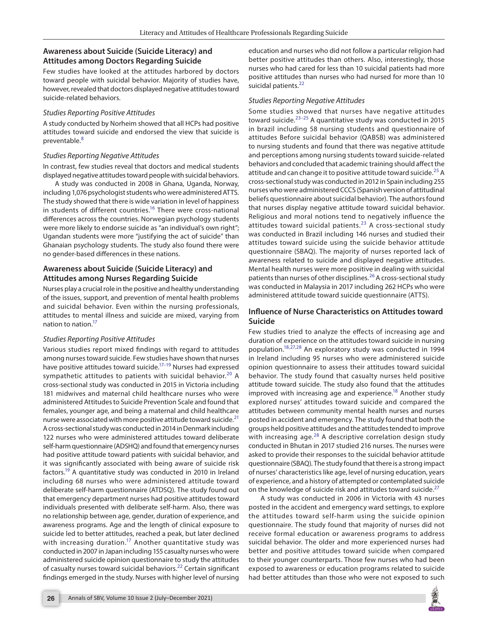# **Awareness about Suicide (Suicide Literacy) and Attitudes among Doctors Regarding Suicide**

Few studies have looked at the attitudes harbored by doctors toward people with suicidal behavior. Majority of studies have, however, revealed that doctors displayed negative attitudes toward suicide-related behaviors.

#### *Studies Reporting Positive Attitudes*

A study conducted by Norheim showed that all HCPs had positive attitudes toward suicide and endorsed the view that suicide is preventable.<sup>[8](#page-3-7)</sup>

#### *Studies Reporting Negative Attitudes*

In contrast, few studies reveal that doctors and medical students displayed negative attitudes toward people with suicidal behaviors.

A study was conducted in 2008 in Ghana, Uganda, Norway, including 1,076 psychologist students who were administered ATTS. The study showed that there is wide variation in level of happiness in students of different countries.<sup>16</sup> There were cross-national differences across the countries. Norwegian psychology students were more likely to endorse suicide as "an individual's own right"; Ugandan students were more "justifying the act of suicide" than Ghanaian psychology students. The study also found there were no gender-based differences in these nations.

## **Awareness about Suicide (Suicide Literacy) and Attitudes among Nurses Regarding Suicide**

Nurses play a crucial role in the positive and healthy understanding of the issues, support, and prevention of mental health problems and suicidal behavior. Even within the nursing professionals, attitudes to mental illness and suicide are mixed, varying from nation to nation.<sup>17</sup>

## *Studies Reporting Positive Attitudes*

Various studies report mixed findings with regard to attitudes among nurses toward suicide. Few studies have shown that nurses have positive attitudes toward suicide.<sup>17-19</sup> Nurses had expressed sympathetic attitudes to patients with suicidal behavior.<sup>[20](#page-4-10)</sup> A cross-sectional study was conducted in 2015 in Victoria including 181 midwives and maternal child healthcare nurses who were administered Attitudes to Suicide Prevention Scale and found that females, younger age, and being a maternal and child healthcare nurse were associated with more positive attitude toward suicide.<sup>[21](#page-4-11)</sup> A cross-sectional study was conducted in 2014 in Denmark including 122 nurses who were administered attitudes toward deliberate self-harm questionnaire (ADSHQ) and found that emergency nurses had positive attitude toward patients with suicidal behavior, and it was significantly associated with being aware of suicide risk factors[.19](#page-4-9) A quantitative study was conducted in 2010 in Ireland including 68 nurses who were administered attitude toward deliberate self-harm questionnaire (ATDSQ). The study found out that emergency department nurses had positive attitudes toward individuals presented with deliberate self-harm. Also, there was no relationship between age, gender, duration of experience, and awareness programs. Age and the length of clinical exposure to suicide led to better attitudes, reached a peak, but later declined with increasing duration.<sup>17</sup> Another quantitative study was conducted in 2007 in Japan including 155 casualty nurses who were administered suicide opinion questionnaire to study the attitudes of casualty nurses toward suicidal behaviors.<sup>[22](#page-4-0)</sup> Certain significant findings emerged in the study. Nurses with higher level of nursing

education and nurses who did not follow a particular religion had better positive attitudes than others. Also, interestingly, those nurses who had cared for less than 10 suicidal patients had more positive attitudes than nurses who had nursed for more than 10 suicidal patients.<sup>[22](#page-4-0)</sup>

#### *Studies Reporting Negative Attitudes*

Some studies showed that nurses have negative attitudes toward suicide. $23-25$  $23-25$  A quantitative study was conducted in 2015 in brazil including 58 nursing students and questionnaire of attitudes Before suicidal behavior (QABSB) was administered to nursing students and found that there was negative attitude and perceptions among nursing students toward suicide-related behaviors and concluded that academic training should affect the attitude and can change it to positive attitude toward suicide.<sup>25</sup> A cross-sectional study was conducted in 2012 in Spain including 255 nurses who were administered CCCS (Spanish version of attitudinal beliefs questionnaire about suicidal behavior). The authors found that nurses display negative attitude toward suicidal behavior. Religious and moral notions tend to negatively influence the attitudes toward suicidal patients. $^{23}$  $^{23}$  $^{23}$  A cross-sectional study was conducted in Brazil including 146 nurses and studied their attitudes toward suicide using the suicide behavior attitude questionnaire (SBAQ). The majority of nurses reported lack of awareness related to suicide and displayed negative attitudes. Mental health nurses were more positive in dealing with suicidal patients than nurses of other disciplines.<sup>[26](#page-4-3)</sup> A cross-sectional study was conducted in Malaysia in 2017 including 262 HCPs who were administered attitude toward suicide questionnaire (ATTS).

## **Influence of Nurse Characteristics on Attitudes toward Suicide**

Few studies tried to analyze the effects of increasing age and duration of experience on the attitudes toward suicide in nursing population[.18,](#page-4-4)[27](#page-4-5),[28](#page-4-6) An exploratory study was conducted in 1994 in Ireland including 95 nurses who were administered suicide opinion questionnaire to assess their attitudes toward suicidal behavior. The study found that casualty nurses held positive attitude toward suicide. The study also found that the attitudes improved with increasing age and experience.<sup>18</sup> Another study explored nurses' attitudes toward suicide and compared the attitudes between community mental health nurses and nurses posted in accident and emergency. The study found that both the groups held positive attitudes and the attitudes tended to improve with increasing age.<sup>28</sup> A descriptive correlation design study conducted in Bhutan in 2017 studied 216 nurses. The nurses were asked to provide their responses to the suicidal behavior attitude questionnaire (SBAQ). The study found that there is a strong impact of nurses' characteristics like age, level of nursing education, years of experience, and a history of attempted or contemplated suicide on the knowledge of suicide risk and attitudes toward suicide. $27$ 

A study was conducted in 2006 in Victoria with 43 nurses posted in the accident and emergency ward settings, to explore the attitudes toward self-harm using the suicide opinion questionnaire. The study found that majority of nurses did not receive formal education or awareness programs to address suicidal behavior. The older and more experienced nurses had better and positive attitudes toward suicide when compared to their younger counterparts. Those few nurses who had been exposed to awareness or education programs related to suicide had better attitudes than those who were not exposed to such

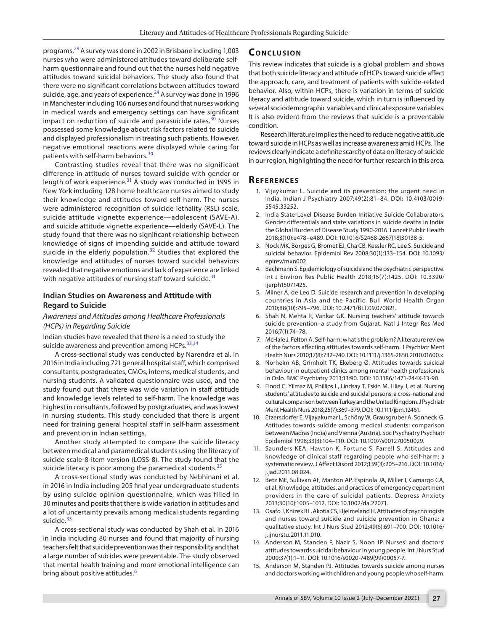programs.[29](#page-4-12) A survey was done in 2002 in Brisbane including 1,003 nurses who were administered attitudes toward deliberate selfharm questionnaire and found out that the nurses held negative attitudes toward suicidal behaviors. The study also found that there were no significant correlations between attitudes toward suicide, age, and years of experience. $^{24}$  A survey was done in 1996 in Manchester including 106 nurses and found that nurses working in medical wards and emergency settings can have significant impact on reduction of suicide and parasuicide rates.<sup>30</sup> Nurses possessed some knowledge about risk factors related to suicide and displayed professionalism in treating such patients. However, negative emotional reactions were displayed while caring for patients with self-harm behaviors.[30](#page-4-14)

Contrasting studies reveal that there was no significant difference in attitude of nurses toward suicide with gender or length of work experience.<sup>[31](#page-4-15)</sup> A study was conducted in 1995 in New York including 128 home healthcare nurses aimed to study their knowledge and attitudes toward self-harm. The nurses were administered recognition of suicide lethality (RSL) scale, suicide attitude vignette experience—adolescent (SAVE-A), and suicide attitude vignette experience—elderly (SAVE-L). The study found that there was no significant relationship between knowledge of signs of impending suicide and attitude toward suicide in the elderly population.<sup>32</sup> Studies that explored the knowledge and attitudes of nurses toward suicidal behaviors revealed that negative emotions and lack of experience are linked with negative attitudes of nursing staff toward suicide. $31$ 

#### **Indian Studies on Awareness and Attitude with Regard to Suicide**

#### *Awareness and Attitudes among Healthcare Professionals (HCPs) in Regarding Suicide*

Indian studies have revealed that there is a need to study the suicide awareness and prevention among HCPs. $33,34$  $33,34$ 

A cross-sectional study was conducted by Narendra et al. in 2016 in India including 721 general hospital staff, which comprised consultants, postgraduates, CMOs, interns, medical students, and nursing students. A validated questionnaire was used, and the study found out that there was wide variation in staff attitude and knowledge levels related to self-harm. The knowledge was highest in consultants, followed by postgraduates, and was lowest in nursing students. This study concluded that there is urgent need for training general hospital staff in self-harm assessment and prevention in Indian settings.

Another study attempted to compare the suicide literacy between medical and paramedical students using the literacy of suicide scale-8-item version (LOSS-8). The study found that the suicide literacy is poor among the paramedical students.<sup>[35](#page-4-19)</sup>

A cross-sectional study was conducted by Nebhinani et al. in 2016 in India including 205 final year undergraduate students by using suicide opinion questionnaire, which was filled in 30 minutes and posits that there is wide variation in attitudes and a lot of uncertainty prevails among medical students regarding suicide.<sup>[33](#page-4-17)</sup>

A cross-sectional study was conducted by Shah et al. in 2016 in India including 80 nurses and found that majority of nursing teachers felt that suicide prevention was their responsibility and that a large number of suicides were preventable. The study observed that mental health training and more emotional intelligence can bring about positive attitudes.<sup>[6](#page-3-5)</sup>

## **CONCLUSION**

This review indicates that suicide is a global problem and shows that both suicide literacy and attitude of HCPs toward suicide affect the approach, care, and treatment of patients with suicide-related behavior. Also, within HCPs, there is variation in terms of suicide literacy and attitude toward suicide, which in turn is influenced by several sociodemographic variables and clinical exposure variables. It is also evident from the reviews that suicide is a preventable condition.

Research literature implies the need to reduce negative attitude toward suicide in HCPs as well as increase awareness amid HCPs. The reviews clearly indicate a definite scarcity of data on literacy of suicide in our region, highlighting the need for further research in this area.

## **Re f e r e n c e s**

- <span id="page-3-0"></span>1. Vijaykumar L. Suicide and its prevention: the urgent need in India. Indian J Psychiatry 2007;49(2):81–84. DOI: 10.4103/0019- 5545.33252.
- <span id="page-3-1"></span>2. India State-Level Disease Burden Initiative Suicide Collaborators. Gender differentials and state variations in suicide deaths in India: the Global Burden of Disease Study 1990-2016. Lancet Public Health 2018;3(10):e478–e489. DOI: 10.1016/S2468-2667(18)30138-5.
- <span id="page-3-2"></span>3. Nock MK, Borges G, Bromet EJ, Cha CB, Kessler RC, Lee S. Suicide and suicidal behavior. Epidemiol Rev 2008;30(1):133–154. DOI: 10.1093/ epirev/mxn002.
- <span id="page-3-3"></span>4. Bachmann S. Epidemiology of suicide and the psychiatric perspective. Int J Environ Res Public Health 2018;15(7):1425. DOI: 10.3390/ ijerph15071425.
- <span id="page-3-4"></span>5. Milner A, de Leo D. Suicide research and prevention in developing countries in Asia and the Pacific. Bull World Health Organ 2010;88(10):795–796. DOI: 10.2471/BLT.09.070821.
- <span id="page-3-5"></span>6. Shah N, Mehta R, Vankar GK. Nursing teachers' attitude towards suicide prevention–a study from Gujarat. Natl J Integr Res Med 2016;7(1):74–78.
- <span id="page-3-6"></span>7. McHale J, Felton A. Self-harm: what's the problem? A literature review of the factors affecting attitudes towards self-harm. J Psychiatr Ment Health Nurs 2010;17(8):732–740. DOI: 10.1111/j.1365-2850.2010.01600.x.
- <span id="page-3-7"></span>8. Norheim AB, Grimholt TK, Ekeberg Ø. Attitudes towards suicidal behaviour in outpatient clinics among mental health professionals in Oslo. BMC Psychiatry 2013;13:90. DOI: 10.1186/1471-244X-13-90.
- <span id="page-3-8"></span>9. Flood C, Yilmaz M, Phillips L, Lindsay T, Eskin M, Hiley J, et al. Nursing students' attitudes to suicide and suicidal persons: a cross-national and cultural comparison between Turkey and the United Kingdom. J Psychiatr Ment Health Nurs 2018;25(7):369–379. DOI: 10.1111/jpm.12461.
- <span id="page-3-9"></span>10. Etzersdorfer E, Vijayakumar L, Schöny W, Grausgruber A, Sonneck G. Attitudes towards suicide among medical students: comparison between Madras (India) and Vienna (Austria). Soc Psychiatry Psychiatr Epidemiol 1998;33(3):104–110. DOI: 10.1007/s001270050029.
- <span id="page-3-10"></span>11. Saunders KEA, Hawton K, Fortune S, Farrell S. Attitudes and knowledge of clinical staff regarding people who self-harm: a systematic review. J Affect Disord 2012;139(3):205–216. DOI: 10.1016/ j.jad.2011.08.024.
- <span id="page-3-11"></span>12. Betz ME, Sullivan AF, Manton AP, Espinola JA, Miller I, Camargo CA, et al. Knowledge, attitudes, and practices of emergency department providers in the care of suicidal patients. Depress Anxiety 2013;30(10):1005–1012. DOI: 10.1002/da.22071.
- <span id="page-3-12"></span>13. Osafo J, Knizek BL, Akotia CS, Hjelmeland H. Attitudes of psychologists and nurses toward suicide and suicide prevention in Ghana: a qualitative study. Int J Nurs Stud 2012;49(6):691–700. DOI: 10.1016/ j.ijnurstu.2011.11.010.
- <span id="page-3-13"></span>14. Anderson M, Standen P, Nazir S, Noon JP. Nurses' and doctors' attitudes towards suicidal behaviour in young people. Int J Nurs Stud 2000;37(1):1–11. DOI: 10.1016/s0020-7489(99)00057-7.
- <span id="page-3-14"></span>15. Anderson M, Standen PJ. Attitudes towards suicide among nurses and doctors working with children and young people who self-harm.